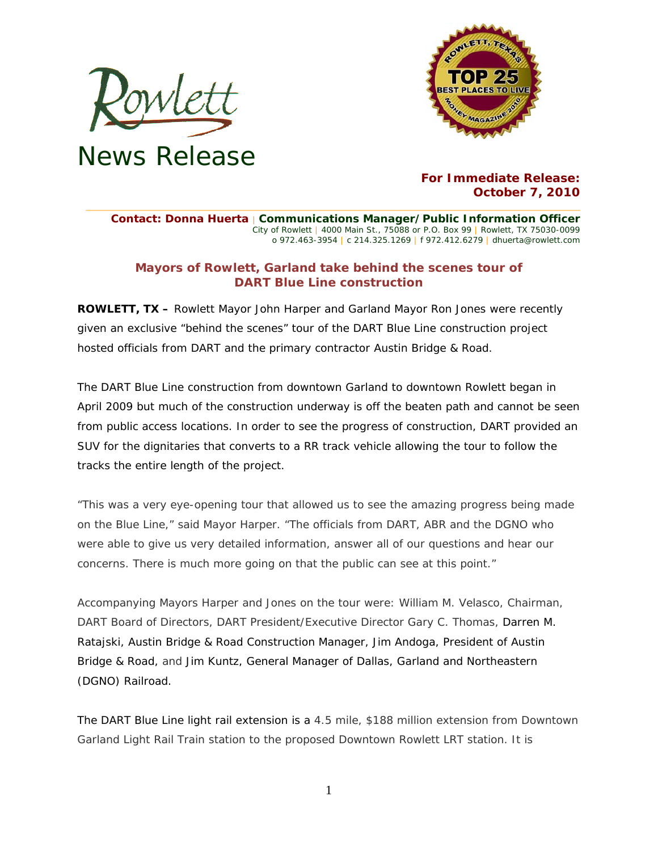



## **For Immediate Release: October 7, 2010**

**Contact: Donna Huerta** | **Communications Manager/Public Information Officer** City of Rowlett | 4000 Main St., 75088 or P.O. Box 99 | Rowlett, TX 75030-0099 o 972.463-3954 | c 214.325.1269 | f 972.412.6279 | dhuerta@rowlett.com

**\_\_\_\_\_\_\_\_\_\_\_\_\_\_\_\_\_\_\_\_\_\_\_\_\_\_\_\_\_\_\_\_\_\_\_\_\_\_\_\_\_\_\_\_\_\_\_\_\_\_\_\_\_\_\_\_\_\_\_\_\_\_\_\_\_\_\_\_\_\_\_\_\_\_\_\_\_\_\_\_\_\_\_\_\_\_\_\_\_\_\_\_** 

## **Mayors of Rowlett, Garland take behind the scenes tour of DART Blue Line construction**

**ROWLETT, TX –** Rowlett Mayor John Harper and Garland Mayor Ron Jones were recently given an exclusive "behind the scenes" tour of the DART Blue Line construction project hosted officials from DART and the primary contractor Austin Bridge & Road.

The DART Blue Line construction from downtown Garland to downtown Rowlett began in April 2009 but much of the construction underway is off the beaten path and cannot be seen from public access locations. In order to see the progress of construction, DART provided an SUV for the dignitaries that converts to a RR track vehicle allowing the tour to follow the tracks the entire length of the project.

"This was a very eye-opening tour that allowed us to see the amazing progress being made on the Blue Line," said Mayor Harper. "The officials from DART, ABR and the DGNO who were able to give us very detailed information, answer all of our questions and hear our concerns. There is much more going on that the public can see at this point."

Accompanying Mayors Harper and Jones on the tour were: William M. Velasco, Chairman, DART Board of Directors, DART President/Executive Director Gary C. Thomas, Darren M. Ratajski, Austin Bridge & Road Construction Manager, Jim Andoga, President of Austin Bridge & Road, and Jim Kuntz, General Manager of Dallas, Garland and Northeastern (DGNO) Railroad.

The DART Blue Line light rail extension is a 4.5 mile, \$188 million extension from Downtown Garland Light Rail Train station to the proposed Downtown Rowlett LRT station. It is